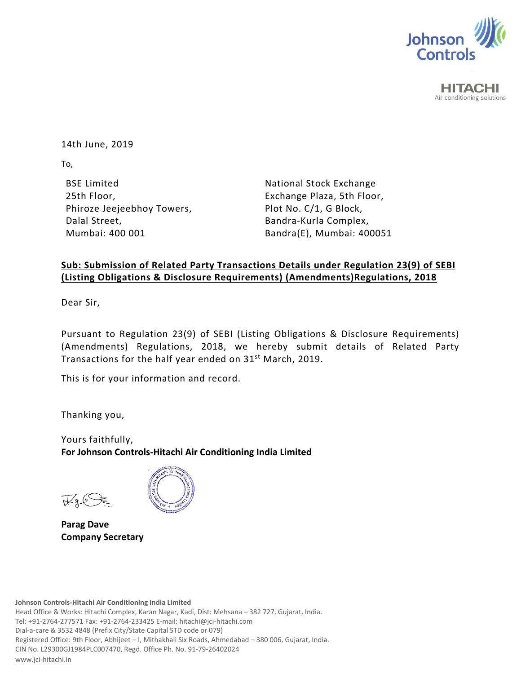

**HITACHI** Air conditioning solutions

14th June, 2019

To,

BSE Limited 25th Floor, Phiroze Jeejeebhoy Towers, Dalal Street, Mumbai: 400 001

National Stock Exchange Exchange Plaza, 5th Floor, Plot No. C/1, G Block, Bandra‐Kurla Complex, Bandra(E), Mumbai: 400051

## **Sub: Submission of Related Party Transactions Details under Regulation 23(9) of SEBI (Listing Obligations & Disclosure Requirements) (Amendments)Regulations, 2018**

Dear Sir,

Pursuant to Regulation 23(9) of SEBI (Listing Obligations & Disclosure Requirements) (Amendments) Regulations, 2018, we hereby submit details of Related Party Transactions for the half year ended on 31<sup>st</sup> March, 2019.

This is for your information and record.

Thanking you,

Yours faithfully, **For Johnson Controls‐Hitachi Air Conditioning India Limited** 



**Parag Dave Company Secretary**

**Johnson Controls‐Hitachi Air Conditioning India Limited**

Head Office & Works: Hitachi Complex, Karan Nagar, Kadi, Dist: Mehsana – 382 727, Gujarat, India. Tel: +91‐2764‐277571 Fax: +91‐2764‐233425 E‐mail: hitachi@jci‐hitachi.com Dial‐a‐care & 3532 4848 (Prefix City/State Capital STD code or 079) Registered Office: 9th Floor, Abhijeet – I, Mithakhali Six Roads, Ahmedabad – 380 006, Gujarat, India. CIN No. L29300GJ1984PLC007470, Regd. Office Ph. No. 91‐79‐26402024 www.jci‐hitachi.in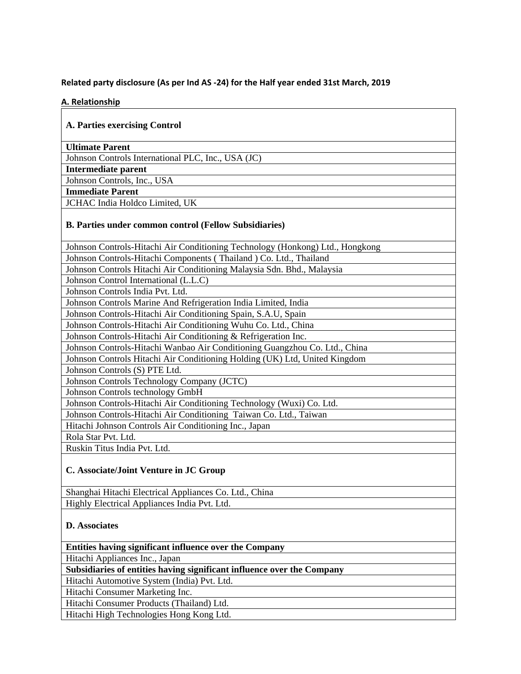## **Related party disclosure (As per Ind AS ‐24) for the Half year ended 31st March, 2019**

## **A. Relationship**

| A. Parties exercising Control                                                 |
|-------------------------------------------------------------------------------|
| <b>Ultimate Parent</b>                                                        |
| Johnson Controls International PLC, Inc., USA (JC)                            |
| Intermediate parent                                                           |
| Johnson Controls, Inc., USA                                                   |
| <b>Immediate Parent</b>                                                       |
| JCHAC India Holdco Limited, UK                                                |
| <b>B. Parties under common control (Fellow Subsidiaries)</b>                  |
| Johnson Controls-Hitachi Air Conditioning Technology (Honkong) Ltd., Hongkong |
| Johnson Controls-Hitachi Components (Thailand ) Co. Ltd., Thailand            |
| Johnson Controls Hitachi Air Conditioning Malaysia Sdn. Bhd., Malaysia        |
| Johnson Control International (L.L.C)                                         |
| Johnson Controls India Pvt. Ltd.                                              |
| Johnson Controls Marine And Refrigeration India Limited, India                |
| Johnson Controls-Hitachi Air Conditioning Spain, S.A.U, Spain                 |
| Johnson Controls-Hitachi Air Conditioning Wuhu Co. Ltd., China                |
| Johnson Controls-Hitachi Air Conditioning & Refrigeration Inc.                |
| Johnson Controls-Hitachi Wanbao Air Conditioning Guangzhou Co. Ltd., China    |
| Johnson Controls Hitachi Air Conditioning Holding (UK) Ltd, United Kingdom    |
| Johnson Controls (S) PTE Ltd.                                                 |
| Johnson Controls Technology Company (JCTC)                                    |
| Johnson Controls technology GmbH                                              |
| Johnson Controls-Hitachi Air Conditioning Technology (Wuxi) Co. Ltd.          |
| Johnson Controls-Hitachi Air Conditioning Taiwan Co. Ltd., Taiwan             |
| Hitachi Johnson Controls Air Conditioning Inc., Japan                         |
| Rola Star Pvt. Ltd.                                                           |
| Ruskin Titus India Pvt. Ltd.                                                  |
| C. Associate/Joint Venture in JC Group                                        |
| Shanghai Hitachi Electrical Appliances Co. Ltd., China                        |
| Highly Electrical Appliances India Pvt. Ltd.                                  |
| <b>D.</b> Associates                                                          |

**Entities having significant influence over the Company**

Hitachi Appliances Inc., Japan

**Subsidiaries of entities having significant influence over the Company** 

Hitachi Automotive System (India) Pvt. Ltd.

Hitachi Consumer Marketing Inc.

Hitachi Consumer Products (Thailand) Ltd.

Hitachi High Technologies Hong Kong Ltd.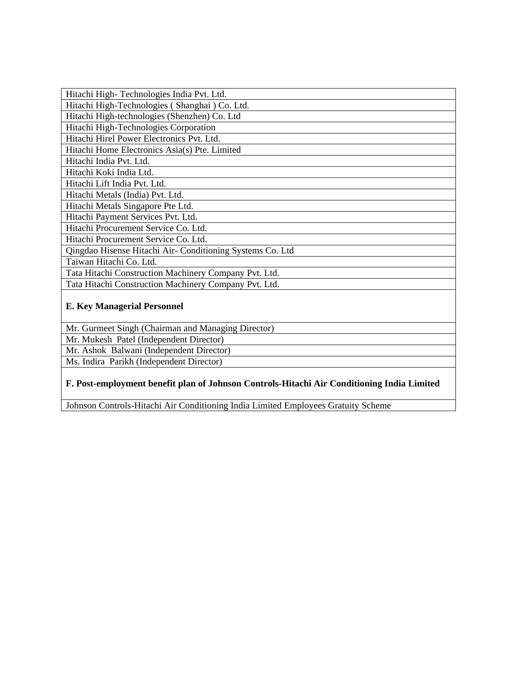| Hitachi High-Technologies India Pvt. Ltd.                 |
|-----------------------------------------------------------|
| Hitachi High-Technologies (Shanghai) Co. Ltd.             |
| Hitachi High-technologies (Shenzhen) Co. Ltd              |
| Hitachi High-Technologies Corporation                     |
| Hitachi Hirel Power Electronics Pvt. Ltd.                 |
| Hitachi Home Electronics Asia(s) Pte. Limited             |
| Hitachi India Pvt. Ltd.                                   |
| Hitachi Koki India Ltd.                                   |
| Hitachi Lift India Pvt. Ltd.                              |
| Hitachi Metals (India) Pvt. Ltd.                          |
| Hitachi Metals Singapore Pte Ltd.                         |
| Hitachi Payment Services Pvt. Ltd.                        |
| Hitachi Procurement Service Co. Ltd.                      |
| Hitachi Procurement Service Co. Ltd.                      |
| Qingdao Hisense Hitachi Air- Conditioning Systems Co. Ltd |
| Taiwan Hitachi Co. Ltd.                                   |
| Tata Hitachi Construction Machinery Company Pvt. Ltd.     |
| Tata Hitachi Construction Machinery Company Pvt. Ltd.     |
| <b>E. Key Managerial Personnel</b>                        |

Mr. Gurmeet Singh (Chairman and Managing Director)

Mr. Mukesh Patel (Independent Director)

Mr. Ashok Balwani (Independent Director)

Ms. Indira Parikh (Independent Director)

## **F. Post-employment benefit plan of Johnson Controls-Hitachi Air Conditioning India Limited**

Johnson Controls-Hitachi Air Conditioning India Limited Employees Gratuity Scheme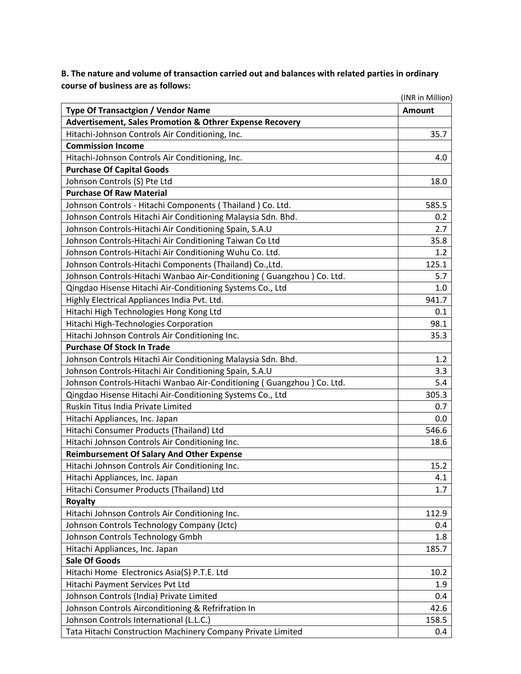**B. The nature and volume of transaction carried out and balances with related parties in ordinary course of business are as follows:**

|                                                                       | (INR in Million) |
|-----------------------------------------------------------------------|------------------|
| <b>Type Of Transactgion / Vendor Name</b>                             | <b>Amount</b>    |
| <b>Advertisement, Sales Promotion &amp; Othrer Expense Recovery</b>   |                  |
| Hitachi-Johnson Controls Air Conditioning, Inc.                       | 35.7             |
| <b>Commission Income</b>                                              |                  |
| Hitachi-Johnson Controls Air Conditioning, Inc.                       | 4.0              |
| <b>Purchase Of Capital Goods</b>                                      |                  |
| Johnson Controls (S) Pte Ltd                                          | 18.0             |
| <b>Purchase Of Raw Material</b>                                       |                  |
| Johnson Controls - Hitachi Components (Thailand) Co. Ltd.             | 585.5            |
| Johnson Controls Hitachi Air Conditioning Malaysia Sdn. Bhd.          | 0.2              |
| Johnson Controls-Hitachi Air Conditioning Spain, S.A.U                | 2.7              |
| Johnson Controls-Hitachi Air Conditioning Taiwan Co Ltd               | 35.8             |
| Johnson Controls-Hitachi Air Conditioning Wuhu Co. Ltd.               | 1.2              |
| Johnson Controls-Hitachi Components (Thailand) Co., Ltd.              | 125.1            |
| Johnson Controls-Hitachi Wanbao Air-Conditioning (Guangzhou) Co. Ltd. | 5.7              |
| Qingdao Hisense Hitachi Air-Conditioning Systems Co., Ltd             | 1.0              |
| Highly Electrical Appliances India Pvt. Ltd.                          | 941.7            |
| Hitachi High Technologies Hong Kong Ltd                               | 0.1              |
| Hitachi High-Technologies Corporation                                 | 98.1             |
| Hitachi Johnson Controls Air Conditioning Inc.                        | 35.3             |
| <b>Purchase Of Stock In Trade</b>                                     |                  |
| Johnson Controls Hitachi Air Conditioning Malaysia Sdn. Bhd.          | 1.2              |
| Johnson Controls-Hitachi Air Conditioning Spain, S.A.U                | 3.3              |
| Johnson Controls-Hitachi Wanbao Air-Conditioning (Guangzhou) Co. Ltd. | 5.4              |
| Qingdao Hisense Hitachi Air-Conditioning Systems Co., Ltd             | 305.3            |
| Ruskin Titus India Private Limited                                    | 0.7              |
| Hitachi Appliances, Inc. Japan                                        | 0.0              |
| Hitachi Consumer Products (Thailand) Ltd                              | 546.6            |
| Hitachi Johnson Controls Air Conditioning Inc.                        | 18.6             |
| <b>Reimbursement Of Salary And Other Expense</b>                      |                  |
| Hitachi Johnson Controls Air Conditioning Inc.                        | 15.2             |
| Hitachi Appliances, Inc. Japan                                        | 4.1              |
| Hitachi Consumer Products (Thailand) Ltd                              | 1.7              |
| <b>Royalty</b>                                                        |                  |
| Hitachi Johnson Controls Air Conditioning Inc.                        | 112.9            |
| Johnson Controls Technology Company (Jctc)                            | 0.4              |
| Johnson Controls Technology Gmbh                                      | 1.8              |
| Hitachi Appliances, Inc. Japan                                        | 185.7            |
| <b>Sale Of Goods</b>                                                  |                  |
| Hitachi Home Electronics Asia(S) P.T.E. Ltd                           | 10.2             |
| Hitachi Payment Services Pvt Ltd                                      | 1.9              |
| Johnson Controls (India) Private Limited                              | 0.4              |
| Johnson Controls Airconditioning & Refrifration In                    | 42.6             |
| Johnson Controls International (L.L.C.)                               | 158.5            |
| Tata Hitachi Construction Machinery Company Private Limited           | 0.4              |
|                                                                       |                  |